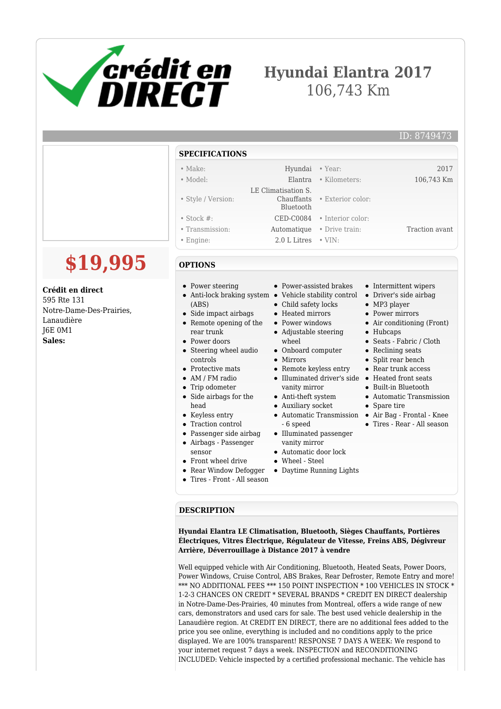

# **Hyundai Elantra 2017** 106,743 Km

• Exterior color:

#### **SPECIFICATIONS**

#### • Make: Hyundai • Year: 2017

- Model: Elantra Kilometers: 106,743 Km
- Style / Version:
- Stock #: **CED-C0084** Interior color:
- Transmission: Automatique Drive train: Traction avant
- Engine: 2.0 L Litres VIN:

### **OPTIONS**

- Power steering
- Anti-lock braking system Vehicle stability control Driver's side airbag (ABS)
- Side impact airbags
- Remote opening of the
	-

 LE Climatisation S. Chauffants Bluetooth

- rear trunk • Power doors
- Steering wheel audio controls
- Protective mats
- AM / FM radio
- Trip odometer
- Side airbags for the head
- Keyless entry
- Traction control
- Passenger side airbag
- Airbags Passenger
- sensor
- Front wheel drive
- Rear Window Defogger
- Tires Front All season
- Power-assisted brakes
- 
- Child safety locks
- Heated mirrors
- Power windows
- Adjustable steering
- wheel Onboard computer
- Mirrors
- 
- Remote keyless entry Illuminated driver's side Heated front seats
- vanity mirror
- Anti-theft system
- Auxiliary socket
- 6 speed
- Illuminated passenger vanity mirror
- Automatic door lock
- Wheel Steel
- Daytime Running Lights
- Intermittent wipers
- MP3 player
- Power mirrors
- Air conditioning (Front)
- Hubcaps
- Seats Fabric / Cloth
- Reclining seats
- Split rear bench
- Rear trunk access
- 
- Built-in Bluetooth
- Automatic Transmission
- Spare tire
- Automatic Transmission Air Bag Frontal Knee
	- Tires Rear All season

#### **DESCRIPTION**

**Hyundai Elantra LE Climatisation, Bluetooth, Sièges Chauffants, Portières Électriques, Vitres Électrique, Régulateur de Vitesse, Freins ABS, Dégivreur Arrière, Déverrouillage à Distance 2017 à vendre**

Well equipped vehicle with Air Conditioning, Bluetooth, Heated Seats, Power Doors, Power Windows, Cruise Control, ABS Brakes, Rear Defroster, Remote Entry and more! \*\*\* NO ADDITIONAL FEES \*\*\* 150 POINT INSPECTION \* 100 VEHICLES IN STOCK \* 1-2-3 CHANCES ON CREDIT \* SEVERAL BRANDS \* CREDIT EN DIRECT dealership in Notre-Dame-Des-Prairies, 40 minutes from Montreal, offers a wide range of new cars, demonstrators and used cars for sale. The best used vehicle dealership in the Lanaudière region. At CREDIT EN DIRECT, there are no additional fees added to the price you see online, everything is included and no conditions apply to the price displayed. We are 100% transparent! RESPONSE 7 DAYS A WEEK: We respond to your internet request 7 days a week. INSPECTION and RECONDITIONING INCLUDED: Vehicle inspected by a certified professional mechanic. The vehicle has

**Crédit en direct**

595 Rte 131 Notre-Dame-Des-Prairies, Lanaudière J6E 0M1 **Sales:**

**\$19,995**